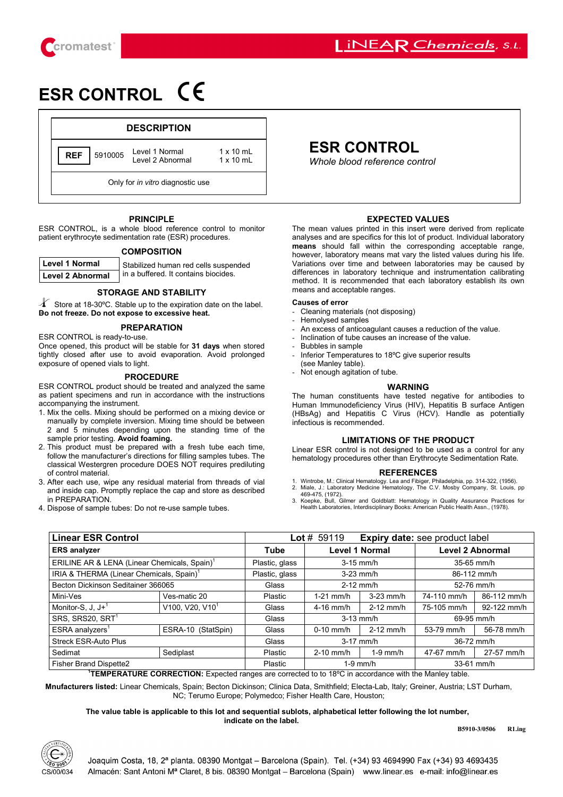

# **ESR CONTROL**

|                                  |         | <b>DESCRIPTION</b>                 |                                      |  |
|----------------------------------|---------|------------------------------------|--------------------------------------|--|
| <b>REF</b>                       | 5910005 | Level 1 Normal<br>Level 2 Abnormal | $1 \times 10$ ml<br>$1 \times 10$ ml |  |
| Only for in vitro diagnostic use |         |                                    |                                      |  |

### **PRINCIPLE**

ESR CONTROL, is a whole blood reference control to monitor patient erythrocyte sedimentation rate (ESR) procedures.

### **COMPOSITION**

| <b>Level 1 Normal</b> | Stabilized human red cells suspended |  |  |  |
|-----------------------|--------------------------------------|--|--|--|
| Level 2 Abnormal      | in a buffered. It contains biocides. |  |  |  |

in a buffered. It contains biocides.

### **STORAGE AND STABILITY**

- **Do not freeze. Do not expose to excessive heat.**   $\overline{1}$  Store at 18-30°C. Stable up to the expiration date on the label.

### **PREPARATION**

ESR CONTROL is ready-to-use.

Once opened, this product will be stable for **31 days** when stored tightly closed after use to avoid evaporation. Avoid prolonged exposure of opened vials to light.

### **PROCEDURE**

ESR CONTROL product should be treated and analyzed the same as patient specimens and run in accordance with the instructions accompanying the instrument.

- 1. Mix the cells. Mixing should be performed on a mixing device or manually by complete inversion. Mixing time should be between 2 and 5 minutes depending upon the standing time of the sample prior testing. **Avoid foaming.**
- 2. This product must be prepared with a fresh tube each time, follow the manufacturer's directions for filling samples tubes. The classical Westergren procedure DOES NOT requires prediluting of control material.
- 3. After each use, wipe any residual material from threads of vial and inside cap. Promptly replace the cap and store as described in PREPARATION.
- 4. Dispose of sample tubes: Do not re-use sample tubes.

# **REF ESR CONTROL**

**Whole blood reference control** 

## **EXPECTED VALUES**

The mean values printed in this insert were derived from replicate analyses and are specifics for this lot of product. Individual laboratory **means** should fall within the corresponding acceptable range, however, laboratory means mat vary the listed values during his life. Variations over time and between laboratories may be caused by differences in laboratory technique and instrumentation calibrating method. It is recommended that each laboratory establish its own means and acceptable ranges.

### **Causes of error**

- Cleaning materials (not disposing)
- Hemolysed samples
- An excess of anticoagulant causes a reduction of the value.
- Inclination of tube causes an increase of the value.
- Bubbles in sample
- Inferior Temperatures to 18°C give superior results
- (see Manley table). Not enough agitation of tube.

### **WARNING**

The human constituents have tested negative for antibodies to Human Immunodeficiency Virus (HIV), Hepatitis B surface Antigen (HBsAg) and Hepatitis C Virus (HCV). Handle as potentially infectious is recommended.

### **LIMITATIONS OF THE PRODUCT**

Linear ESR control is not designed to be used as a control for any hematology procedures other than Erythrocyte Sedimentation Rate.

### **REFERENCES**

- 1. Wintrobe, M.: Clinical Hematology. Lea and Fibiger, Philadelphia, pp. 314-322, (1956). 2. Miale, J.: Laboratory Medicine Hematology, The C.V. Mosby Company, St. Louis, pp 469-475, (1972).
- 3. Koepke, Bull, Gilmer and Goldblatt: Hematology in Quality Assurance Practices for Health Laboratories, Interdisciplinary Books: American Public Health Assn., (1978).

| <b>Linear ESR Control</b>                                |                             | <b>Lot</b> # 59119<br><b>Expiry date:</b> see product label |                       |             |                         |             |
|----------------------------------------------------------|-----------------------------|-------------------------------------------------------------|-----------------------|-------------|-------------------------|-------------|
| <b>ERS</b> analyzer                                      |                             | <b>Tube</b>                                                 | <b>Level 1 Normal</b> |             | <b>Level 2 Abnormal</b> |             |
| ERILINE AR & LENA (Linear Chemicals, Spain) <sup>1</sup> |                             | Plastic, glass                                              | $3-15$ mm/h           |             | 35-65 mm/h              |             |
| IRIA & THERMA (Linear Chemicals, Spain) <sup>1</sup>     |                             | Plastic, glass                                              | $3-23$ mm/h           |             | 86-112 mm/h             |             |
| Becton Dickinson Seditainer 366065                       |                             | Glass                                                       | $2-12$ mm/h           |             | 52-76 mm/h              |             |
| Mini-Ves                                                 | Ves-matic 20                | Plastic                                                     | $1-21$ mm/h           | $3-23$ mm/h | 74-110 mm/h             | 86-112 mm/h |
| Monitor-S, J, $J +$ <sup>1</sup>                         | V100, V20, V10 <sup>1</sup> | Glass                                                       | $4-16$ mm/h           | $2-12$ mm/h | 75-105 mm/h             | 92-122 mm/h |
| SRS, SRS20, SRT1                                         |                             | Glass                                                       | $3-13$ mm/h           |             | 69-95 mm/h              |             |
| ESRA analyzers <sup>1</sup>                              | ESRA-10 (StatSpin)          | Glass                                                       | $0-10$ mm/h           | $2-12$ mm/h | 53-79 mm/h              | 56-78 mm/h  |
| <b>Streck ESR-Auto Plus</b>                              |                             | Glass                                                       | $3-17$ mm/h           |             | 36-72 mm/h              |             |
| Sedimat                                                  | Sediplast                   | Plastic                                                     | $2-10$ mm/h           | $1-9$ mm/h  | 47-67 mm/h              | 27-57 mm/h  |
| Fisher Brand Dispette2                                   |                             | Plastic                                                     | $1-9$ mm/h            |             | 33-61 mm/h              |             |

**TEMPERATURE CORRECTION:** Expected ranges are corrected to to 18°C in accordance with the Manley table.

**Mnufacturers listed:** Linear Chemicals, Spain; Becton Dickinson; Clinica Data, Smithfield; Electa-Lab, Italy; Greiner, Austria; LST Durham, NC; Terumo Europe; Polymedco; Fisher Health Care, Houston;

### **The value table is applicable to this lot and sequential sublots, alphabetical letter following the lot number, indicate on the label.**